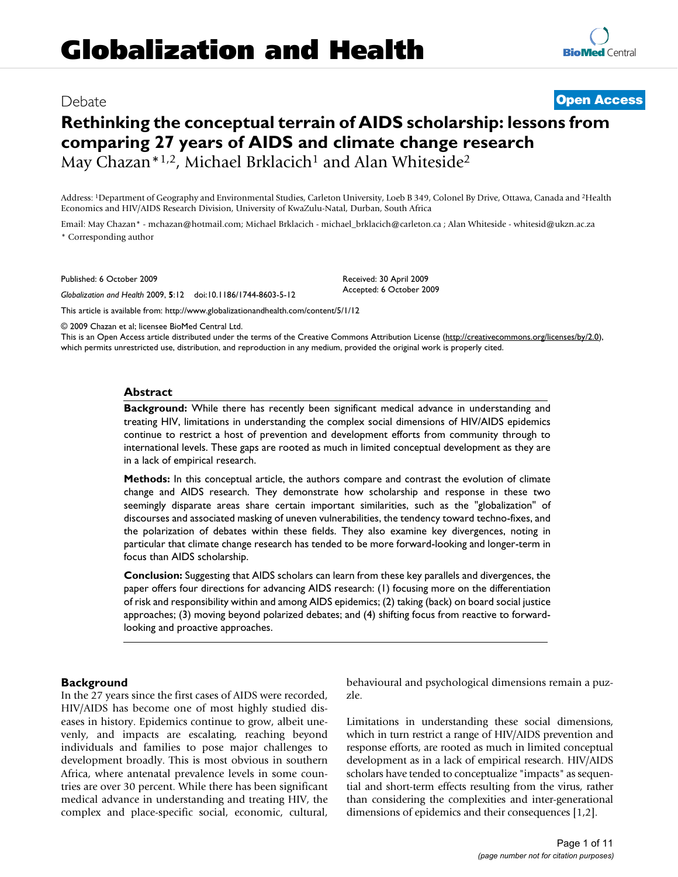# Debate **[Open Access](http://www.biomedcentral.com/info/about/charter/)**

# **Rethinking the conceptual terrain of AIDS scholarship: lessons from comparing 27 years of AIDS and climate change research** May Chazan\*<sup>1,2</sup>, Michael Brklacich<sup>1</sup> and Alan Whiteside<sup>2</sup>

Address: 1Department of Geography and Environmental Studies, Carleton University, Loeb B 349, Colonel By Drive, Ottawa, Canada and 2Health Economics and HIV/AIDS Research Division, University of KwaZulu-Natal, Durban, South Africa

Email: May Chazan\* - mchazan@hotmail.com; Michael Brklacich - michael\_brklacich@carleton.ca ; Alan Whiteside - whitesid@ukzn.ac.za \* Corresponding author

Published: 6 October 2009

*Globalization and Health* 2009, **5**:12 doi:10.1186/1744-8603-5-12

Received: 30 April 2009 Accepted: 6 October 2009

[This article is available from: http://www.globalizationandhealth.com/content/5/1/12](http://www.globalizationandhealth.com/content/5/1/12)

© 2009 Chazan et al; licensee BioMed Central Ltd.

This is an Open Access article distributed under the terms of the Creative Commons Attribution License [\(http://creativecommons.org/licenses/by/2.0\)](http://creativecommons.org/licenses/by/2.0), which permits unrestricted use, distribution, and reproduction in any medium, provided the original work is properly cited.

#### **Abstract**

**Background:** While there has recently been significant medical advance in understanding and treating HIV, limitations in understanding the complex social dimensions of HIV/AIDS epidemics continue to restrict a host of prevention and development efforts from community through to international levels. These gaps are rooted as much in limited conceptual development as they are in a lack of empirical research.

**Methods:** In this conceptual article, the authors compare and contrast the evolution of climate change and AIDS research. They demonstrate how scholarship and response in these two seemingly disparate areas share certain important similarities, such as the "globalization" of discourses and associated masking of uneven vulnerabilities, the tendency toward techno-fixes, and the polarization of debates within these fields. They also examine key divergences, noting in particular that climate change research has tended to be more forward-looking and longer-term in focus than AIDS scholarship.

**Conclusion:** Suggesting that AIDS scholars can learn from these key parallels and divergences, the paper offers four directions for advancing AIDS research: (1) focusing more on the differentiation of risk and responsibility within and among AIDS epidemics; (2) taking (back) on board social justice approaches; (3) moving beyond polarized debates; and (4) shifting focus from reactive to forwardlooking and proactive approaches.

## **Background**

In the 27 years since the first cases of AIDS were recorded, HIV/AIDS has become one of most highly studied diseases in history. Epidemics continue to grow, albeit unevenly, and impacts are escalating, reaching beyond individuals and families to pose major challenges to development broadly. This is most obvious in southern Africa, where antenatal prevalence levels in some countries are over 30 percent. While there has been significant medical advance in understanding and treating HIV, the complex and place-specific social, economic, cultural, behavioural and psychological dimensions remain a puzzle.

Limitations in understanding these social dimensions, which in turn restrict a range of HIV/AIDS prevention and response efforts, are rooted as much in limited conceptual development as in a lack of empirical research. HIV/AIDS scholars have tended to conceptualize "impacts" as sequential and short-term effects resulting from the virus, rather than considering the complexities and inter-generational dimensions of epidemics and their consequences [1,2].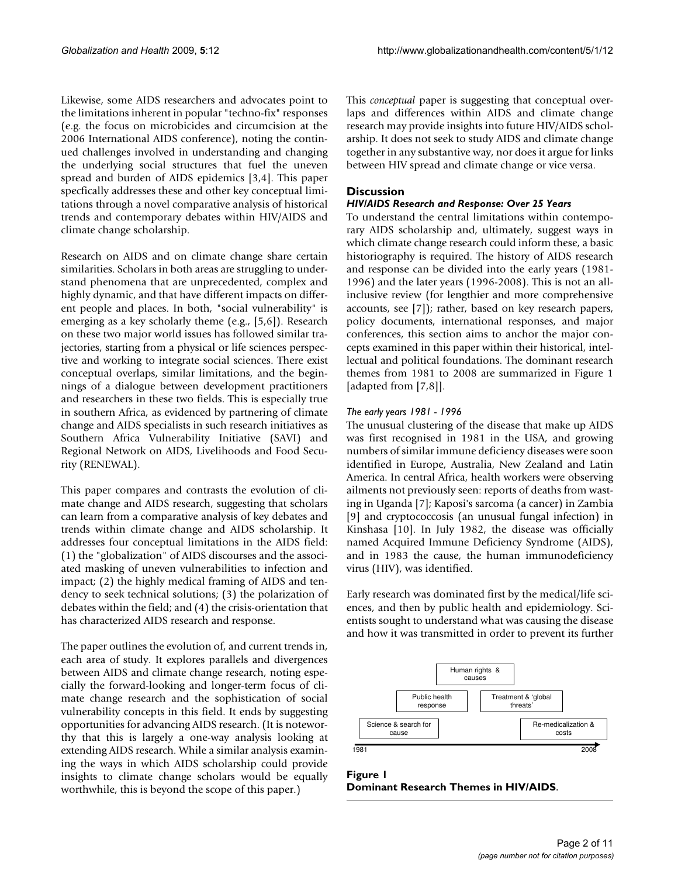Likewise, some AIDS researchers and advocates point to the limitations inherent in popular "techno-fix" responses (e.g. the focus on microbicides and circumcision at the 2006 International AIDS conference), noting the continued challenges involved in understanding and changing the underlying social structures that fuel the uneven spread and burden of AIDS epidemics [3,4]. This paper specfically addresses these and other key conceptual limitations through a novel comparative analysis of historical trends and contemporary debates within HIV/AIDS and climate change scholarship.

Research on AIDS and on climate change share certain similarities. Scholars in both areas are struggling to understand phenomena that are unprecedented, complex and highly dynamic, and that have different impacts on different people and places. In both, "social vulnerability" is emerging as a key scholarly theme (e.g., [5,6]). Research on these two major world issues has followed similar trajectories, starting from a physical or life sciences perspective and working to integrate social sciences. There exist conceptual overlaps, similar limitations, and the beginnings of a dialogue between development practitioners and researchers in these two fields. This is especially true in southern Africa, as evidenced by partnering of climate change and AIDS specialists in such research initiatives as Southern Africa Vulnerability Initiative (SAVI) and Regional Network on AIDS, Livelihoods and Food Security (RENEWAL).

This paper compares and contrasts the evolution of climate change and AIDS research, suggesting that scholars can learn from a comparative analysis of key debates and trends within climate change and AIDS scholarship. It addresses four conceptual limitations in the AIDS field: (1) the "globalization" of AIDS discourses and the associated masking of uneven vulnerabilities to infection and impact; (2) the highly medical framing of AIDS and tendency to seek technical solutions; (3) the polarization of debates within the field; and (4) the crisis-orientation that has characterized AIDS research and response.

The paper outlines the evolution of, and current trends in, each area of study. It explores parallels and divergences between AIDS and climate change research, noting especially the forward-looking and longer-term focus of climate change research and the sophistication of social vulnerability concepts in this field. It ends by suggesting opportunities for advancing AIDS research. (It is noteworthy that this is largely a one-way analysis looking at extending AIDS research. While a similar analysis examining the ways in which AIDS scholarship could provide insights to climate change scholars would be equally worthwhile, this is beyond the scope of this paper.)

This *conceptual* paper is suggesting that conceptual overlaps and differences within AIDS and climate change research may provide insights into future HIV/AIDS scholarship. It does not seek to study AIDS and climate change together in any substantive way, nor does it argue for links between HIV spread and climate change or vice versa.

## **Discussion**

#### *HIV/AIDS Research and Response: Over 25 Years*

To understand the central limitations within contemporary AIDS scholarship and, ultimately, suggest ways in which climate change research could inform these, a basic historiography is required. The history of AIDS research and response can be divided into the early years (1981- 1996) and the later years (1996-2008). This is not an allinclusive review (for lengthier and more comprehensive accounts, see [7]); rather, based on key research papers, policy documents, international responses, and major conferences, this section aims to anchor the major concepts examined in this paper within their historical, intellectual and political foundations. The dominant research themes from 1981 to 2008 are summarized in Figure 1 [adapted from [7,8]].

#### *The early years 1981 - 1996*

The unusual clustering of the disease that make up AIDS was first recognised in 1981 in the USA, and growing numbers of similar immune deficiency diseases were soon identified in Europe, Australia, New Zealand and Latin America. In central Africa, health workers were observing ailments not previously seen: reports of deaths from wasting in Uganda [7]; Kaposi's sarcoma (a cancer) in Zambia [9] and cryptococcosis (an unusual fungal infection) in Kinshasa [10]. In July 1982, the disease was officially named Acquired Immune Deficiency Syndrome (AIDS), and in 1983 the cause, the human immunodeficiency virus (HIV), was identified.

Early research was dominated first by the medical/life sciences, and then by public health and epidemiology. Scientists sought to understand what was causing the disease and how it was transmitted in order to prevent its further



**Figure 1 Dominant Research Themes in HIV/AIDS**.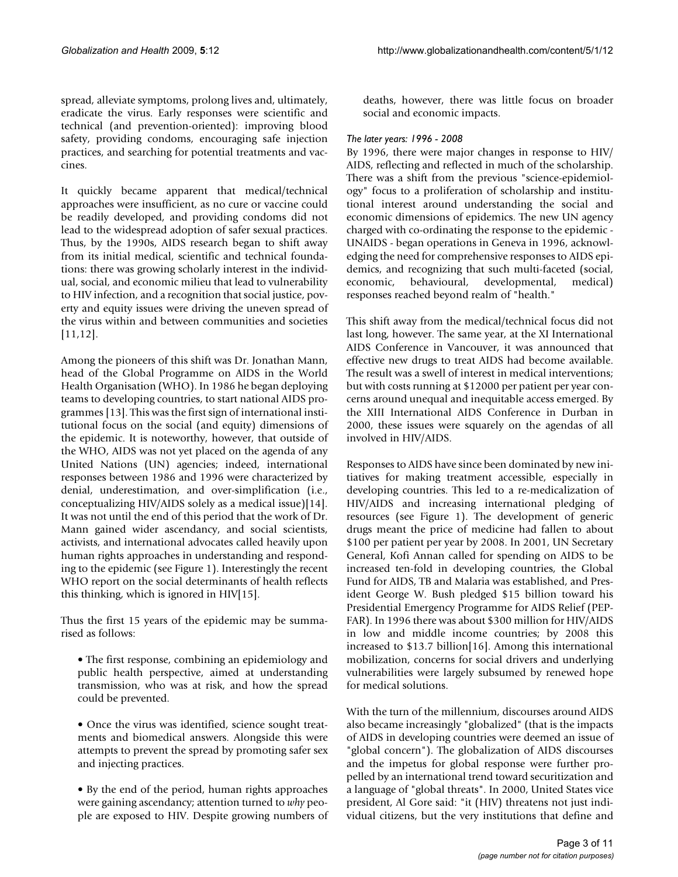spread, alleviate symptoms, prolong lives and, ultimately, eradicate the virus. Early responses were scientific and technical (and prevention-oriented): improving blood safety, providing condoms, encouraging safe injection practices, and searching for potential treatments and vaccines.

It quickly became apparent that medical/technical approaches were insufficient, as no cure or vaccine could be readily developed, and providing condoms did not lead to the widespread adoption of safer sexual practices. Thus, by the 1990s, AIDS research began to shift away from its initial medical, scientific and technical foundations: there was growing scholarly interest in the individual, social, and economic milieu that lead to vulnerability to HIV infection, and a recognition that social justice, poverty and equity issues were driving the uneven spread of the virus within and between communities and societies [11,12].

Among the pioneers of this shift was Dr. Jonathan Mann, head of the Global Programme on AIDS in the World Health Organisation (WHO). In 1986 he began deploying teams to developing countries, to start national AIDS programmes [13]. This was the first sign of international institutional focus on the social (and equity) dimensions of the epidemic. It is noteworthy, however, that outside of the WHO, AIDS was not yet placed on the agenda of any United Nations (UN) agencies; indeed, international responses between 1986 and 1996 were characterized by denial, underestimation, and over-simplification (i.e., conceptualizing HIV/AIDS solely as a medical issue)[14]. It was not until the end of this period that the work of Dr. Mann gained wider ascendancy, and social scientists, activists, and international advocates called heavily upon human rights approaches in understanding and responding to the epidemic (see Figure 1). Interestingly the recent WHO report on the social determinants of health reflects this thinking, which is ignored in HIV[15].

Thus the first 15 years of the epidemic may be summarised as follows:

- The first response, combining an epidemiology and public health perspective, aimed at understanding transmission, who was at risk, and how the spread could be prevented.
- Once the virus was identified, science sought treatments and biomedical answers. Alongside this were attempts to prevent the spread by promoting safer sex and injecting practices.
- By the end of the period, human rights approaches were gaining ascendancy; attention turned to *why* people are exposed to HIV. Despite growing numbers of

deaths, however, there was little focus on broader social and economic impacts.

# *The later years: 1996 - 2008*

By 1996, there were major changes in response to HIV/ AIDS, reflecting and reflected in much of the scholarship. There was a shift from the previous "science-epidemiology" focus to a proliferation of scholarship and institutional interest around understanding the social and economic dimensions of epidemics. The new UN agency charged with co-ordinating the response to the epidemic - UNAIDS - began operations in Geneva in 1996, acknowledging the need for comprehensive responses to AIDS epidemics, and recognizing that such multi-faceted (social, economic, behavioural, developmental, medical) responses reached beyond realm of "health."

This shift away from the medical/technical focus did not last long, however. The same year, at the XI International AIDS Conference in Vancouver, it was announced that effective new drugs to treat AIDS had become available. The result was a swell of interest in medical interventions; but with costs running at \$12000 per patient per year concerns around unequal and inequitable access emerged. By the XIII International AIDS Conference in Durban in 2000, these issues were squarely on the agendas of all involved in HIV/AIDS.

Responses to AIDS have since been dominated by new initiatives for making treatment accessible, especially in developing countries. This led to a re-medicalization of HIV/AIDS and increasing international pledging of resources (see Figure 1). The development of generic drugs meant the price of medicine had fallen to about \$100 per patient per year by 2008. In 2001, UN Secretary General, Kofi Annan called for spending on AIDS to be increased ten-fold in developing countries, the Global Fund for AIDS, TB and Malaria was established, and President George W. Bush pledged \$15 billion toward his Presidential Emergency Programme for AIDS Relief (PEP-FAR). In 1996 there was about \$300 million for HIV/AIDS in low and middle income countries; by 2008 this increased to \$13.7 billion[16]. Among this international mobilization, concerns for social drivers and underlying vulnerabilities were largely subsumed by renewed hope for medical solutions.

With the turn of the millennium, discourses around AIDS also became increasingly "globalized" (that is the impacts of AIDS in developing countries were deemed an issue of "global concern"). The globalization of AIDS discourses and the impetus for global response were further propelled by an international trend toward securitization and a language of "global threats". In 2000, United States vice president, Al Gore said: "it (HIV) threatens not just individual citizens, but the very institutions that define and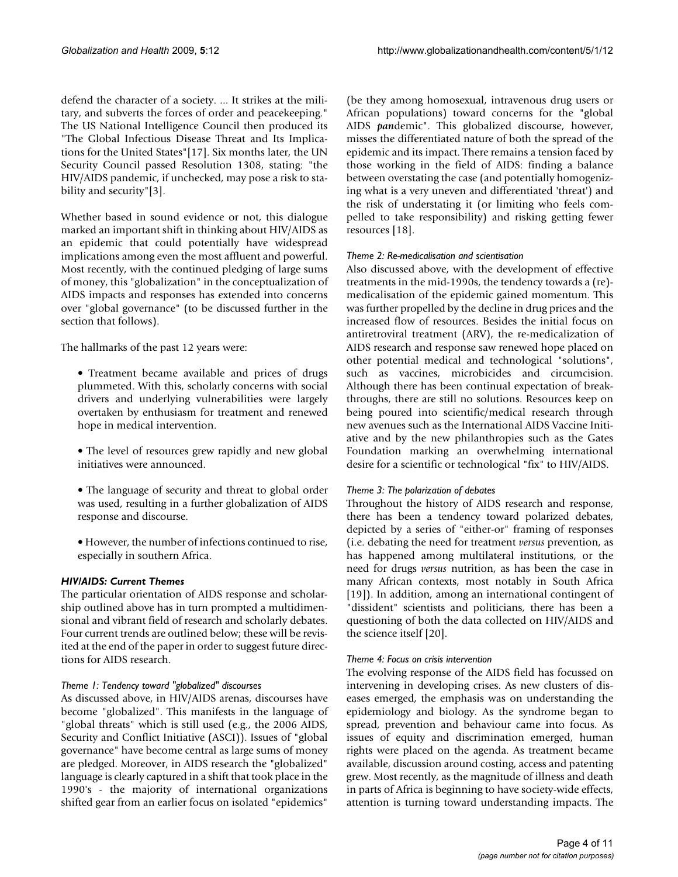defend the character of a society. ... It strikes at the military, and subverts the forces of order and peacekeeping." The US National Intelligence Council then produced its "The Global Infectious Disease Threat and Its Implications for the United States"[17]. Six months later, the UN Security Council passed Resolution 1308, stating: "the HIV/AIDS pandemic, if unchecked, may pose a risk to stability and security"[3].

Whether based in sound evidence or not, this dialogue marked an important shift in thinking about HIV/AIDS as an epidemic that could potentially have widespread implications among even the most affluent and powerful. Most recently, with the continued pledging of large sums of money, this "globalization" in the conceptualization of AIDS impacts and responses has extended into concerns over "global governance" (to be discussed further in the section that follows).

The hallmarks of the past 12 years were:

- Treatment became available and prices of drugs plummeted. With this, scholarly concerns with social drivers and underlying vulnerabilities were largely overtaken by enthusiasm for treatment and renewed hope in medical intervention.
- The level of resources grew rapidly and new global initiatives were announced.
- The language of security and threat to global order was used, resulting in a further globalization of AIDS response and discourse.
- However, the number of infections continued to rise, especially in southern Africa.

## *HIV/AIDS: Current Themes*

The particular orientation of AIDS response and scholarship outlined above has in turn prompted a multidimensional and vibrant field of research and scholarly debates. Four current trends are outlined below; these will be revisited at the end of the paper in order to suggest future directions for AIDS research.

# *Theme 1: Tendency toward "globalized" discourses*

As discussed above, in HIV/AIDS arenas, discourses have become "globalized". This manifests in the language of "global threats" which is still used (e.g., the 2006 AIDS, Security and Conflict Initiative (ASCI)). Issues of "global governance" have become central as large sums of money are pledged. Moreover, in AIDS research the "globalized" language is clearly captured in a shift that took place in the 1990's - the majority of international organizations shifted gear from an earlier focus on isolated "epidemics"

(be they among homosexual, intravenous drug users or African populations) toward concerns for the "global AIDS *pan*demic". This globalized discourse, however, misses the differentiated nature of both the spread of the epidemic and its impact. There remains a tension faced by those working in the field of AIDS: finding a balance between overstating the case (and potentially homogenizing what is a very uneven and differentiated 'threat') and the risk of understating it (or limiting who feels compelled to take responsibility) and risking getting fewer resources [18].

# *Theme 2: Re-medicalisation and scientisation*

Also discussed above, with the development of effective treatments in the mid-1990s, the tendency towards a (re) medicalisation of the epidemic gained momentum. This was further propelled by the decline in drug prices and the increased flow of resources. Besides the initial focus on antiretroviral treatment (ARV), the re-medicalization of AIDS research and response saw renewed hope placed on other potential medical and technological "solutions", such as vaccines, microbicides and circumcision. Although there has been continual expectation of breakthroughs, there are still no solutions. Resources keep on being poured into scientific/medical research through new avenues such as the International AIDS Vaccine Initiative and by the new philanthropies such as the Gates Foundation marking an overwhelming international desire for a scientific or technological "fix" to HIV/AIDS.

## *Theme 3: The polarization of debates*

Throughout the history of AIDS research and response, there has been a tendency toward polarized debates, depicted by a series of "either-or" framing of responses (i.e. debating the need for treatment *versus* prevention, as has happened among multilateral institutions, or the need for drugs *versus* nutrition, as has been the case in many African contexts, most notably in South Africa [19]). In addition, among an international contingent of "dissident" scientists and politicians, there has been a questioning of both the data collected on HIV/AIDS and the science itself [20].

## *Theme 4: Focus on crisis intervention*

The evolving response of the AIDS field has focussed on intervening in developing crises. As new clusters of diseases emerged, the emphasis was on understanding the epidemiology and biology. As the syndrome began to spread, prevention and behaviour came into focus. As issues of equity and discrimination emerged, human rights were placed on the agenda. As treatment became available, discussion around costing, access and patenting grew. Most recently, as the magnitude of illness and death in parts of Africa is beginning to have society-wide effects, attention is turning toward understanding impacts. The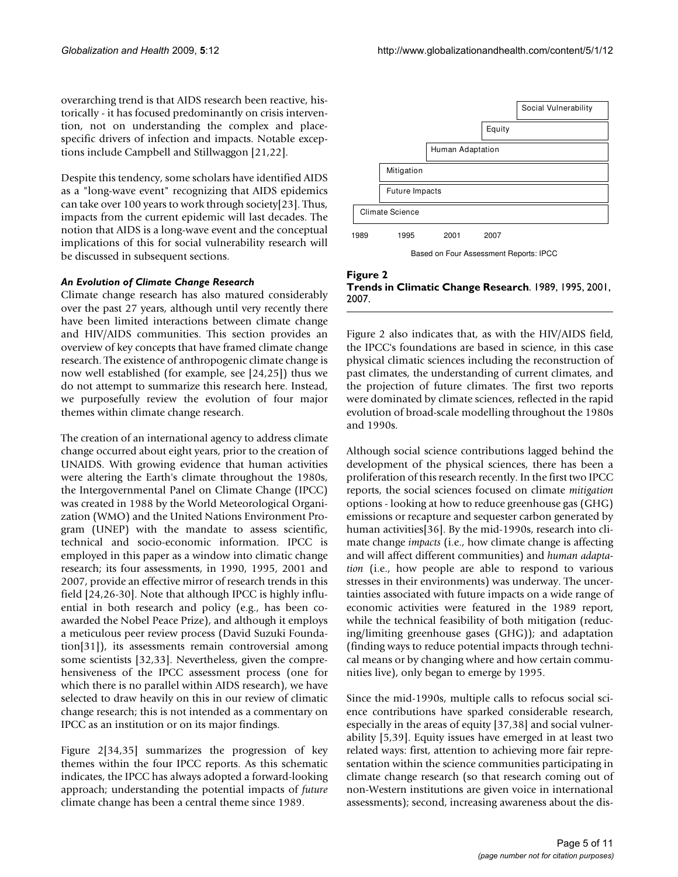overarching trend is that AIDS research been reactive, historically - it has focused predominantly on crisis intervention, not on understanding the complex and placespecific drivers of infection and impacts. Notable exceptions include Campbell and Stillwaggon [21,22].

Despite this tendency, some scholars have identified AIDS as a "long-wave event" recognizing that AIDS epidemics can take over 100 years to work through society[23]. Thus, impacts from the current epidemic will last decades. The notion that AIDS is a long-wave event and the conceptual implications of this for social vulnerability research will be discussed in subsequent sections.

## *An Evolution of Climate Change Research*

Climate change research has also matured considerably over the past 27 years, although until very recently there have been limited interactions between climate change and HIV/AIDS communities. This section provides an overview of key concepts that have framed climate change research. The existence of anthropogenic climate change is now well established (for example, see [24,25]) thus we do not attempt to summarize this research here. Instead, we purposefully review the evolution of four major themes within climate change research.

The creation of an international agency to address climate change occurred about eight years, prior to the creation of UNAIDS. With growing evidence that human activities were altering the Earth's climate throughout the 1980s, the Intergovernmental Panel on Climate Change (IPCC) was created in 1988 by the World Meteorological Organization (WMO) and the United Nations Environment Program (UNEP) with the mandate to assess scientific, technical and socio-economic information. IPCC is employed in this paper as a window into climatic change research; its four assessments, in 1990, 1995, 2001 and 2007, provide an effective mirror of research trends in this field [24,26-30]. Note that although IPCC is highly influential in both research and policy (e.g., has been coawarded the Nobel Peace Prize), and although it employs a meticulous peer review process (David Suzuki Foundation[31]), its assessments remain controversial among some scientists [32,33]. Nevertheless, given the comprehensiveness of the IPCC assessment process (one for which there is no parallel within AIDS research), we have selected to draw heavily on this in our review of climatic change research; this is not intended as a commentary on IPCC as an institution or on its major findings.

Figure 2[34,35] summarizes the progression of key themes within the four IPCC reports. As this schematic indicates, the IPCC has always adopted a forward-looking approach; understanding the potential impacts of *future* climate change has been a central theme since 1989.



Based on Four Assessment Reports: IPCC

#### Figure 2 **Trends in Climatic Change Research**. 1989, 1995, 2001, 2007.

Figure 2 also indicates that, as with the HIV/AIDS field, the IPCC's foundations are based in science, in this case physical climatic sciences including the reconstruction of past climates, the understanding of current climates, and the projection of future climates. The first two reports were dominated by climate sciences, reflected in the rapid evolution of broad-scale modelling throughout the 1980s and 1990s.

Although social science contributions lagged behind the development of the physical sciences, there has been a proliferation of this research recently. In the first two IPCC reports, the social sciences focused on climate *mitigation* options - looking at how to reduce greenhouse gas (GHG) emissions or recapture and sequester carbon generated by human activities[36]. By the mid-1990s, research into climate change *impacts* (i.e., how climate change is affecting and will affect different communities) and *human adaptation* (i.e., how people are able to respond to various stresses in their environments) was underway. The uncertainties associated with future impacts on a wide range of economic activities were featured in the 1989 report, while the technical feasibility of both mitigation (reducing/limiting greenhouse gases (GHG)); and adaptation (finding ways to reduce potential impacts through technical means or by changing where and how certain communities live), only began to emerge by 1995.

Since the mid-1990s, multiple calls to refocus social science contributions have sparked considerable research, especially in the areas of equity [37,38] and social vulnerability [5,39]. Equity issues have emerged in at least two related ways: first, attention to achieving more fair representation within the science communities participating in climate change research (so that research coming out of non-Western institutions are given voice in international assessments); second, increasing awareness about the dis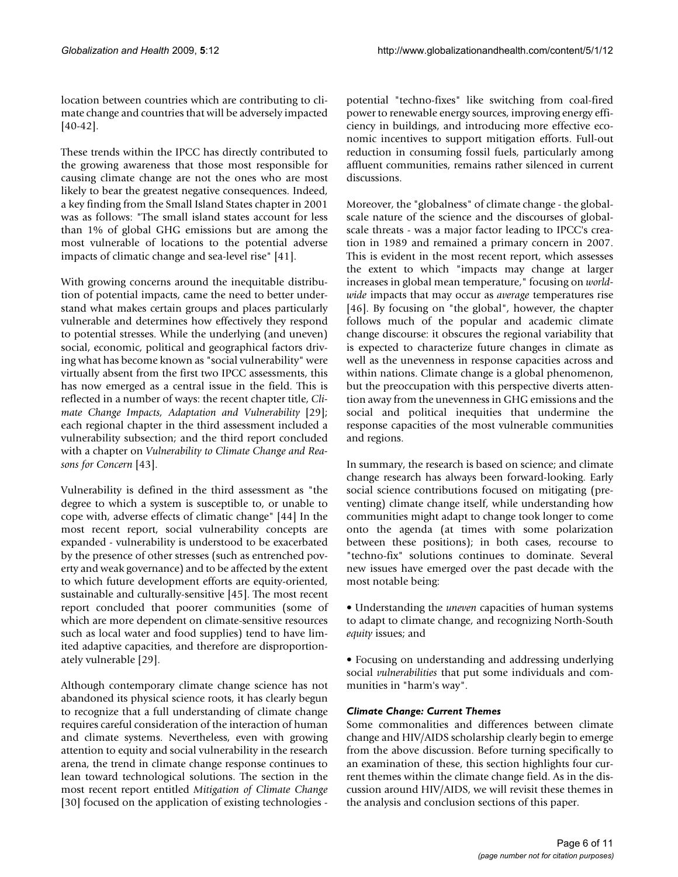location between countries which are contributing to climate change and countries that will be adversely impacted [40-42].

These trends within the IPCC has directly contributed to the growing awareness that those most responsible for causing climate change are not the ones who are most likely to bear the greatest negative consequences. Indeed, a key finding from the Small Island States chapter in 2001 was as follows: "The small island states account for less than 1% of global GHG emissions but are among the most vulnerable of locations to the potential adverse impacts of climatic change and sea-level rise" [41].

With growing concerns around the inequitable distribution of potential impacts, came the need to better understand what makes certain groups and places particularly vulnerable and determines how effectively they respond to potential stresses. While the underlying (and uneven) social, economic, political and geographical factors driving what has become known as "social vulnerability" were virtually absent from the first two IPCC assessments, this has now emerged as a central issue in the field. This is reflected in a number of ways: the recent chapter title, *Climate Change Impacts, Adaptation and Vulnerability* [29]; each regional chapter in the third assessment included a vulnerability subsection; and the third report concluded with a chapter on *Vulnerability to Climate Change and Reasons for Concern* [43].

Vulnerability is defined in the third assessment as "the degree to which a system is susceptible to, or unable to cope with, adverse effects of climatic change" [44] In the most recent report, social vulnerability concepts are expanded - vulnerability is understood to be exacerbated by the presence of other stresses (such as entrenched poverty and weak governance) and to be affected by the extent to which future development efforts are equity-oriented, sustainable and culturally-sensitive [45]. The most recent report concluded that poorer communities (some of which are more dependent on climate-sensitive resources such as local water and food supplies) tend to have limited adaptive capacities, and therefore are disproportionately vulnerable [29].

Although contemporary climate change science has not abandoned its physical science roots, it has clearly begun to recognize that a full understanding of climate change requires careful consideration of the interaction of human and climate systems. Nevertheless, even with growing attention to equity and social vulnerability in the research arena, the trend in climate change response continues to lean toward technological solutions. The section in the most recent report entitled *Mitigation of Climate Change* [30] focused on the application of existing technologies -

potential "techno-fixes" like switching from coal-fired power to renewable energy sources, improving energy efficiency in buildings, and introducing more effective economic incentives to support mitigation efforts. Full-out reduction in consuming fossil fuels, particularly among affluent communities, remains rather silenced in current discussions.

Moreover, the "globalness" of climate change - the globalscale nature of the science and the discourses of globalscale threats - was a major factor leading to IPCC's creation in 1989 and remained a primary concern in 2007. This is evident in the most recent report, which assesses the extent to which "impacts may change at larger increases in global mean temperature," focusing on *worldwide* impacts that may occur as *average* temperatures rise [46]. By focusing on "the global", however, the chapter follows much of the popular and academic climate change discourse: it obscures the regional variability that is expected to characterize future changes in climate as well as the unevenness in response capacities across and within nations. Climate change is a global phenomenon, but the preoccupation with this perspective diverts attention away from the unevenness in GHG emissions and the social and political inequities that undermine the response capacities of the most vulnerable communities and regions.

In summary, the research is based on science; and climate change research has always been forward-looking. Early social science contributions focused on mitigating (preventing) climate change itself, while understanding how communities might adapt to change took longer to come onto the agenda (at times with some polarization between these positions); in both cases, recourse to "techno-fix" solutions continues to dominate. Several new issues have emerged over the past decade with the most notable being:

• Understanding the *uneven* capacities of human systems to adapt to climate change, and recognizing North-South *equity* issues; and

• Focusing on understanding and addressing underlying social *vulnerabilities* that put some individuals and communities in "harm's way".

## *Climate Change: Current Themes*

Some commonalities and differences between climate change and HIV/AIDS scholarship clearly begin to emerge from the above discussion. Before turning specifically to an examination of these, this section highlights four current themes within the climate change field. As in the discussion around HIV/AIDS, we will revisit these themes in the analysis and conclusion sections of this paper.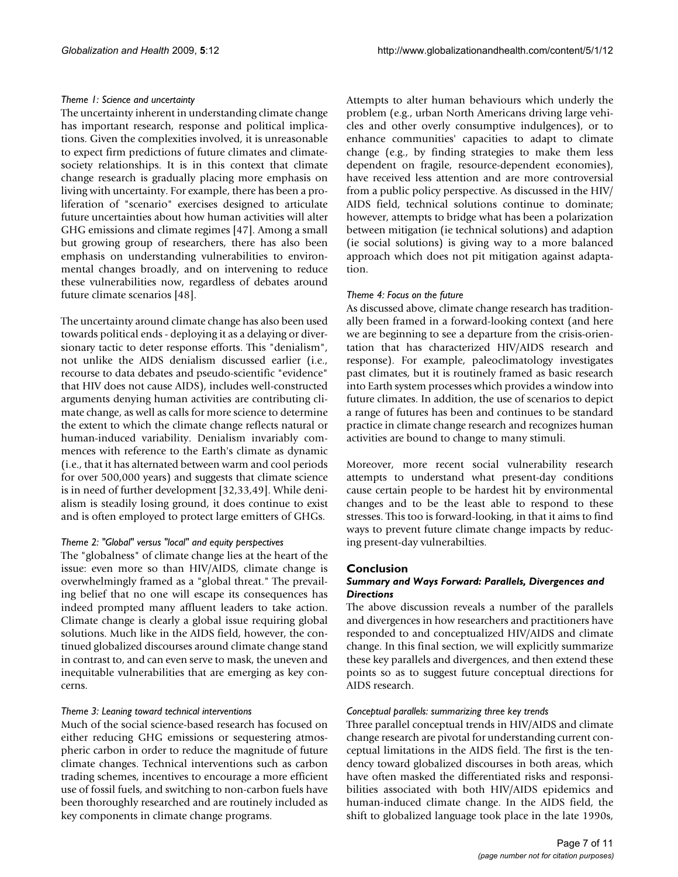#### *Theme 1: Science and uncertainty*

The uncertainty inherent in understanding climate change has important research, response and political implications. Given the complexities involved, it is unreasonable to expect firm predictions of future climates and climatesociety relationships. It is in this context that climate change research is gradually placing more emphasis on living with uncertainty. For example, there has been a proliferation of "scenario" exercises designed to articulate future uncertainties about how human activities will alter GHG emissions and climate regimes [47]. Among a small but growing group of researchers, there has also been emphasis on understanding vulnerabilities to environmental changes broadly, and on intervening to reduce these vulnerabilities now, regardless of debates around future climate scenarios [48].

The uncertainty around climate change has also been used towards political ends - deploying it as a delaying or diversionary tactic to deter response efforts. This "denialism", not unlike the AIDS denialism discussed earlier (i.e., recourse to data debates and pseudo-scientific "evidence" that HIV does not cause AIDS), includes well-constructed arguments denying human activities are contributing climate change, as well as calls for more science to determine the extent to which the climate change reflects natural or human-induced variability. Denialism invariably commences with reference to the Earth's climate as dynamic (i.e., that it has alternated between warm and cool periods for over 500,000 years) and suggests that climate science is in need of further development [32,33,49]. While denialism is steadily losing ground, it does continue to exist and is often employed to protect large emitters of GHGs.

## *Theme 2: "Global" versus "local" and equity perspectives*

The "globalness" of climate change lies at the heart of the issue: even more so than HIV/AIDS, climate change is overwhelmingly framed as a "global threat." The prevailing belief that no one will escape its consequences has indeed prompted many affluent leaders to take action. Climate change is clearly a global issue requiring global solutions. Much like in the AIDS field, however, the continued globalized discourses around climate change stand in contrast to, and can even serve to mask, the uneven and inequitable vulnerabilities that are emerging as key concerns.

#### *Theme 3: Leaning toward technical interventions*

Much of the social science-based research has focused on either reducing GHG emissions or sequestering atmospheric carbon in order to reduce the magnitude of future climate changes. Technical interventions such as carbon trading schemes, incentives to encourage a more efficient use of fossil fuels, and switching to non-carbon fuels have been thoroughly researched and are routinely included as key components in climate change programs.

Attempts to alter human behaviours which underly the problem (e.g., urban North Americans driving large vehicles and other overly consumptive indulgences), or to enhance communities' capacities to adapt to climate change (e.g., by finding strategies to make them less dependent on fragile, resource-dependent economies), have received less attention and are more controversial from a public policy perspective. As discussed in the HIV/ AIDS field, technical solutions continue to dominate; however, attempts to bridge what has been a polarization between mitigation (ie technical solutions) and adaption (ie social solutions) is giving way to a more balanced approach which does not pit mitigation against adaptation.

## *Theme 4: Focus on the future*

As discussed above, climate change research has traditionally been framed in a forward-looking context (and here we are beginning to see a departure from the crisis-orientation that has characterized HIV/AIDS research and response). For example, paleoclimatology investigates past climates, but it is routinely framed as basic research into Earth system processes which provides a window into future climates. In addition, the use of scenarios to depict a range of futures has been and continues to be standard practice in climate change research and recognizes human activities are bound to change to many stimuli.

Moreover, more recent social vulnerability research attempts to understand what present-day conditions cause certain people to be hardest hit by environmental changes and to be the least able to respond to these stresses. This too is forward-looking, in that it aims to find ways to prevent future climate change impacts by reducing present-day vulnerabilties.

## **Conclusion**

#### *Summary and Ways Forward: Parallels, Divergences and Directions*

The above discussion reveals a number of the parallels and divergences in how researchers and practitioners have responded to and conceptualized HIV/AIDS and climate change. In this final section, we will explicitly summarize these key parallels and divergences, and then extend these points so as to suggest future conceptual directions for AIDS research.

## *Conceptual parallels: summarizing three key trends*

Three parallel conceptual trends in HIV/AIDS and climate change research are pivotal for understanding current conceptual limitations in the AIDS field. The first is the tendency toward globalized discourses in both areas, which have often masked the differentiated risks and responsibilities associated with both HIV/AIDS epidemics and human-induced climate change. In the AIDS field, the shift to globalized language took place in the late 1990s,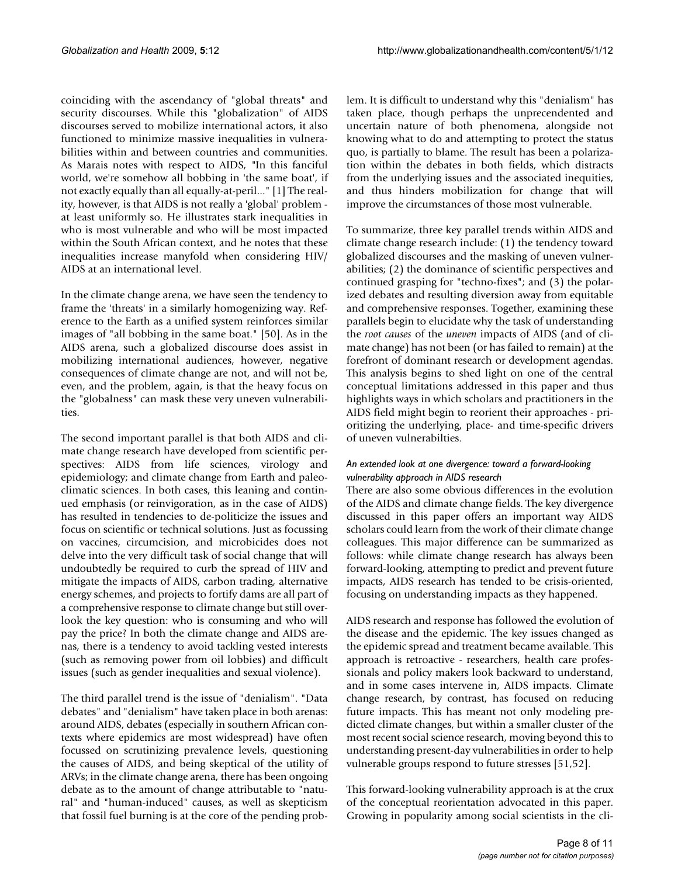coinciding with the ascendancy of "global threats" and security discourses. While this "globalization" of AIDS discourses served to mobilize international actors, it also functioned to minimize massive inequalities in vulnerabilities within and between countries and communities. As Marais notes with respect to AIDS, *"*In this fanciful world, we're somehow all bobbing in 'the same boat', if not exactly equally than all equally-at-peril..." [1] The reality, however, is that AIDS is not really a 'global' problem at least uniformly so. He illustrates stark inequalities in who is most vulnerable and who will be most impacted within the South African context, and he notes that these inequalities increase manyfold when considering HIV/ AIDS at an international level.

In the climate change arena, we have seen the tendency to frame the 'threats' in a similarly homogenizing way. Reference to the Earth as a unified system reinforces similar images of "all bobbing in the same boat." [50]. As in the AIDS arena, such a globalized discourse does assist in mobilizing international audiences, however, negative consequences of climate change are not, and will not be, even, and the problem, again, is that the heavy focus on the "globalness" can mask these very uneven vulnerabilities.

The second important parallel is that both AIDS and climate change research have developed from scientific perspectives: AIDS from life sciences, virology and epidemiology; and climate change from Earth and paleoclimatic sciences. In both cases, this leaning and continued emphasis (or reinvigoration, as in the case of AIDS) has resulted in tendencies to de-politicize the issues and focus on scientific or technical solutions. Just as focussing on vaccines, circumcision, and microbicides does not delve into the very difficult task of social change that will undoubtedly be required to curb the spread of HIV and mitigate the impacts of AIDS, carbon trading, alternative energy schemes, and projects to fortify dams are all part of a comprehensive response to climate change but still overlook the key question: who is consuming and who will pay the price? In both the climate change and AIDS arenas, there is a tendency to avoid tackling vested interests (such as removing power from oil lobbies) and difficult issues (such as gender inequalities and sexual violence).

The third parallel trend is the issue of "denialism". "Data debates" and "denialism" have taken place in both arenas: around AIDS, debates (especially in southern African contexts where epidemics are most widespread) have often focussed on scrutinizing prevalence levels, questioning the causes of AIDS, and being skeptical of the utility of ARVs; in the climate change arena, there has been ongoing debate as to the amount of change attributable to "natural" and "human-induced" causes, as well as skepticism that fossil fuel burning is at the core of the pending problem. It is difficult to understand why this "denialism" has taken place, though perhaps the unprecendented and uncertain nature of both phenomena, alongside not knowing what to do and attempting to protect the status quo, is partially to blame. The result has been a polarization within the debates in both fields, which distracts from the underlying issues and the associated inequities, and thus hinders mobilization for change that will improve the circumstances of those most vulnerable.

To summarize, three key parallel trends within AIDS and climate change research include: (1) the tendency toward globalized discourses and the masking of uneven vulnerabilities; (2) the dominance of scientific perspectives and continued grasping for "techno-fixes"; and (3) the polarized debates and resulting diversion away from equitable and comprehensive responses. Together, examining these parallels begin to elucidate why the task of understanding the *root causes* of the *uneven* impacts of AIDS (and of climate change) has not been (or has failed to remain) at the forefront of dominant research or development agendas. This analysis begins to shed light on one of the central conceptual limitations addressed in this paper and thus highlights ways in which scholars and practitioners in the AIDS field might begin to reorient their approaches - prioritizing the underlying, place- and time-specific drivers of uneven vulnerabilties.

## *An extended look at one divergence: toward a forward-looking vulnerability approach in AIDS research*

There are also some obvious differences in the evolution of the AIDS and climate change fields. The key divergence discussed in this paper offers an important way AIDS scholars could learn from the work of their climate change colleagues. This major difference can be summarized as follows: while climate change research has always been forward-looking, attempting to predict and prevent future impacts, AIDS research has tended to be crisis-oriented, focusing on understanding impacts as they happened.

AIDS research and response has followed the evolution of the disease and the epidemic. The key issues changed as the epidemic spread and treatment became available. This approach is retroactive - researchers, health care professionals and policy makers look backward to understand, and in some cases intervene in, AIDS impacts. Climate change research, by contrast, has focused on reducing future impacts. This has meant not only modeling predicted climate changes, but within a smaller cluster of the most recent social science research, moving beyond this to understanding present-day vulnerabilities in order to help vulnerable groups respond to future stresses [51,52].

This forward-looking vulnerability approach is at the crux of the conceptual reorientation advocated in this paper. Growing in popularity among social scientists in the cli-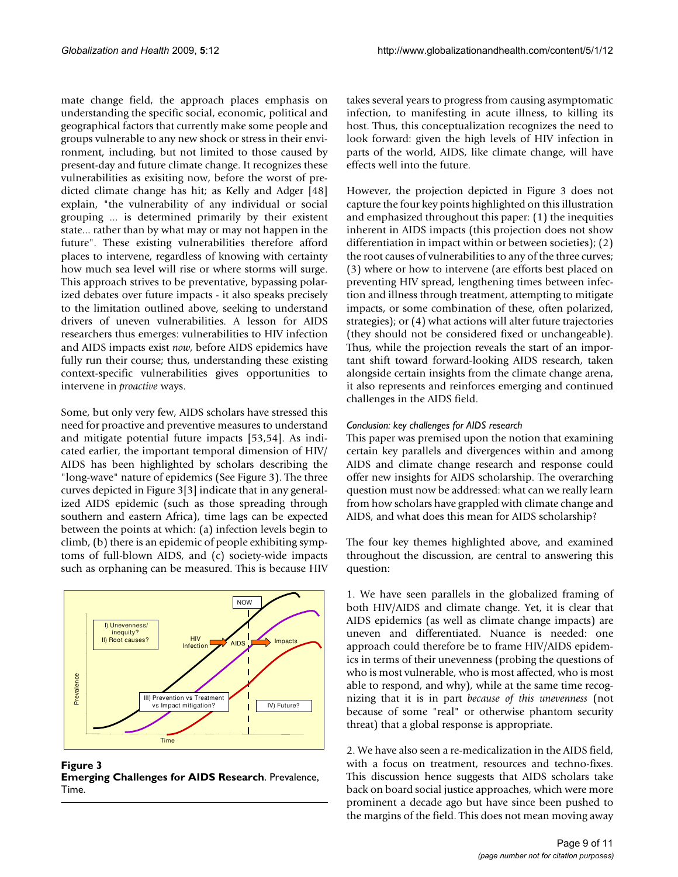mate change field, the approach places emphasis on understanding the specific social, economic, political and geographical factors that currently make some people and groups vulnerable to any new shock or stress in their environment, including, but not limited to those caused by present-day and future climate change. It recognizes these vulnerabilities as exisiting now, before the worst of predicted climate change has hit; as Kelly and Adger [48] explain, "the vulnerability of any individual or social grouping ... is determined primarily by their existent state... rather than by what may or may not happen in the future". These existing vulnerabilities therefore afford places to intervene, regardless of knowing with certainty how much sea level will rise or where storms will surge. This approach strives to be preventative, bypassing polarized debates over future impacts - it also speaks precisely to the limitation outlined above, seeking to understand drivers of uneven vulnerabilities. A lesson for AIDS researchers thus emerges: vulnerabilities to HIV infection and AIDS impacts exist *now*, before AIDS epidemics have fully run their course; thus, understanding these existing context-specific vulnerabilities gives opportunities to intervene in *proactive* ways.

Some, but only very few, AIDS scholars have stressed this need for proactive and preventive measures to understand and mitigate potential future impacts [53,54]. As indicated earlier, the important temporal dimension of HIV/ AIDS has been highlighted by scholars describing the "long-wave" nature of epidemics (See Figure 3). The three curves depicted in Figure 3[3] indicate that in any generalized AIDS epidemic (such as those spreading through southern and eastern Africa), time lags can be expected between the points at which: (a) infection levels begin to climb, (b) there is an epidemic of people exhibiting symptoms of full-blown AIDS, and (c) society-wide impacts such as orphaning can be measured. This is because HIV



**Figure 3 Emerging Challenges for AIDS Research**. Prevalence, Time.

takes several years to progress from causing asymptomatic infection, to manifesting in acute illness, to killing its host. Thus, this conceptualization recognizes the need to look forward: given the high levels of HIV infection in parts of the world, AIDS, like climate change, will have effects well into the future.

However, the projection depicted in Figure 3 does not capture the four key points highlighted on this illustration and emphasized throughout this paper: (1) the inequities inherent in AIDS impacts (this projection does not show differentiation in impact within or between societies); (2) the root causes of vulnerabilities to any of the three curves; (3) where or how to intervene (are efforts best placed on preventing HIV spread, lengthening times between infection and illness through treatment, attempting to mitigate impacts, or some combination of these, often polarized, strategies); or (4) what actions will alter future trajectories (they should not be considered fixed or unchangeable). Thus, while the projection reveals the start of an important shift toward forward-looking AIDS research, taken alongside certain insights from the climate change arena, it also represents and reinforces emerging and continued challenges in the AIDS field.

# *Conclusion: key challenges for AIDS research*

This paper was premised upon the notion that examining certain key parallels and divergences within and among AIDS and climate change research and response could offer new insights for AIDS scholarship. The overarching question must now be addressed: what can we really learn from how scholars have grappled with climate change and AIDS, and what does this mean for AIDS scholarship?

The four key themes highlighted above, and examined throughout the discussion, are central to answering this question:

1. We have seen parallels in the globalized framing of both HIV/AIDS and climate change. Yet, it is clear that AIDS epidemics (as well as climate change impacts) are uneven and differentiated. Nuance is needed: one approach could therefore be to frame HIV/AIDS epidemics in terms of their unevenness (probing the questions of who is most vulnerable, who is most affected, who is most able to respond, and why), while at the same time recognizing that it is in part *because of this unevenness* (not because of some "real" or otherwise phantom security threat) that a global response is appropriate.

2. We have also seen a re-medicalization in the AIDS field, with a focus on treatment, resources and techno-fixes. This discussion hence suggests that AIDS scholars take back on board social justice approaches, which were more prominent a decade ago but have since been pushed to the margins of the field. This does not mean moving away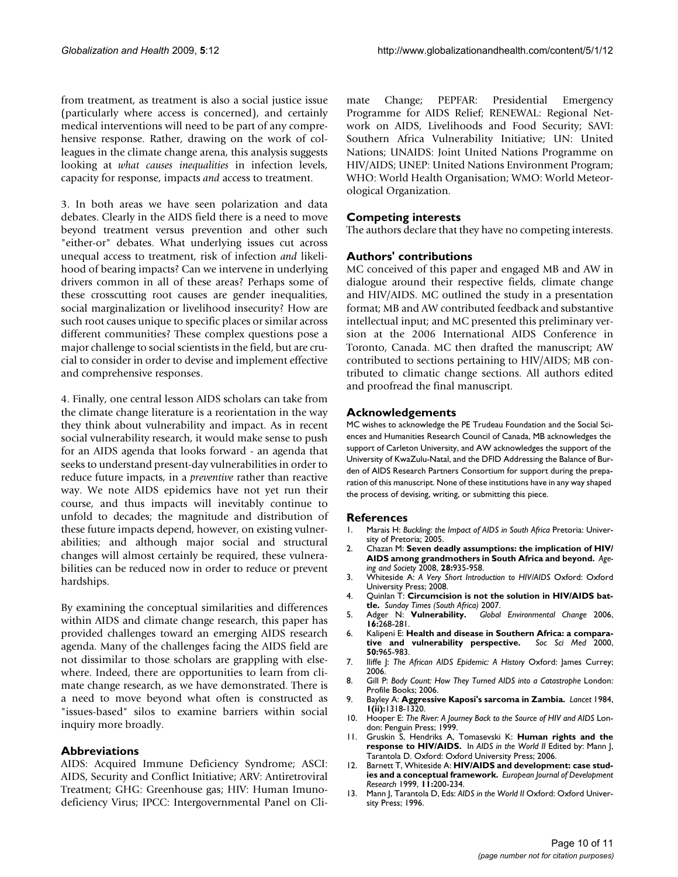from treatment, as treatment is also a social justice issue (particularly where access is concerned), and certainly medical interventions will need to be part of any comprehensive response. Rather, drawing on the work of colleagues in the climate change arena, this analysis suggests looking at *what causes inequalities* in infection levels, capacity for response, impacts *and* access to treatment.

3. In both areas we have seen polarization and data debates. Clearly in the AIDS field there is a need to move beyond treatment versus prevention and other such "either-or" debates. What underlying issues cut across unequal access to treatment, risk of infection *and* likelihood of bearing impacts? Can we intervene in underlying drivers common in all of these areas? Perhaps some of these crosscutting root causes are gender inequalities, social marginalization or livelihood insecurity? How are such root causes unique to specific places or similar across different communities? These complex questions pose a major challenge to social scientists in the field, but are crucial to consider in order to devise and implement effective and comprehensive responses.

4. Finally, one central lesson AIDS scholars can take from the climate change literature is a reorientation in the way they think about vulnerability and impact. As in recent social vulnerability research, it would make sense to push for an AIDS agenda that looks forward - an agenda that seeks to understand present-day vulnerabilities in order to reduce future impacts, in a *preventive* rather than reactive way. We note AIDS epidemics have not yet run their course, and thus impacts will inevitably continue to unfold to decades; the magnitude and distribution of these future impacts depend, however, on existing vulnerabilities; and although major social and structural changes will almost certainly be required, these vulnerabilities can be reduced now in order to reduce or prevent hardships.

By examining the conceptual similarities and differences within AIDS and climate change research, this paper has provided challenges toward an emerging AIDS research agenda. Many of the challenges facing the AIDS field are not dissimilar to those scholars are grappling with elsewhere. Indeed, there are opportunities to learn from climate change research, as we have demonstrated. There is a need to move beyond what often is constructed as "issues-based" silos to examine barriers within social inquiry more broadly.

## **Abbreviations**

AIDS: Acquired Immune Deficiency Syndrome; ASCI: AIDS, Security and Conflict Initiative; ARV: Antiretroviral Treatment; GHG: Greenhouse gas; HIV: Human Imunodeficiency Virus; IPCC: Intergovernmental Panel on Climate Change; PEPFAR: Presidential Emergency Programme for AIDS Relief; RENEWAL: Regional Network on AIDS, Livelihoods and Food Security; SAVI: Southern Africa Vulnerability Initiative; UN: United Nations; UNAIDS: Joint United Nations Programme on HIV/AIDS; UNEP: United Nations Environment Program; WHO: World Health Organisation; WMO: World Meteorological Organization.

# **Competing interests**

The authors declare that they have no competing interests.

## **Authors' contributions**

MC conceived of this paper and engaged MB and AW in dialogue around their respective fields, climate change and HIV/AIDS. MC outlined the study in a presentation format; MB and AW contributed feedback and substantive intellectual input; and MC presented this preliminary version at the 2006 International AIDS Conference in Toronto, Canada. MC then drafted the manuscript; AW contributed to sections pertaining to HIV/AIDS; MB contributed to climatic change sections. All authors edited and proofread the final manuscript.

#### **Acknowledgements**

MC wishes to acknowledge the PE Trudeau Foundation and the Social Sciences and Humanities Research Council of Canada, MB acknowledges the support of Carleton University, and AW acknowledges the support of the University of KwaZulu-Natal, and the DFID Addressing the Balance of Burden of AIDS Research Partners Consortium for support during the preparation of this manuscript. None of these institutions have in any way shaped the process of devising, writing, or submitting this piece.

#### **References**

- 1. Marais H: *Buckling: the Impact of AIDS in South Africa* Pretoria: University of Pretoria; 2005.
- 2. Chazan M: **Seven deadly assumptions: the implication of HIV/ AIDS among grandmothers in South Africa and beyond.** *Ageing and Society* 2008, **28:**935-958.
- 3. Whiteside A: *A Very Short Introduction to HIV/AIDS* Oxford: Oxford University Press; 2008.
- 4. Quinlan T: **Circumcision is not the solution in HIV/AIDS battle.** *Sunday Times (South Africa)* 2007.
- 5. Adger N: **Vulnerability.** *Global Environmental Change* 2006, **16:**268-281.
- 6. Kalipeni E: **[Health and disease in Southern Africa: a compara](http://www.ncbi.nlm.nih.gov/entrez/query.fcgi?cmd=Retrieve&db=PubMed&dopt=Abstract&list_uids=10714920)[tive and vulnerability perspective.](http://www.ncbi.nlm.nih.gov/entrez/query.fcgi?cmd=Retrieve&db=PubMed&dopt=Abstract&list_uids=10714920)** *Soc Sci Med* 2000, **50:**965-983.
- 7. Iliffe J: *The African AIDS Epidemic: A History* Oxford: James Currey; 2006.
- 8. Gill P: *Body Count: How They Turned AIDS into a Catastrophe* London: Profile Books; 2006.
- 9. Bayley A: **[Aggressive Kaposi's sarcoma in Zambia.](http://www.ncbi.nlm.nih.gov/entrez/query.fcgi?cmd=Retrieve&db=PubMed&dopt=Abstract&list_uids=6145025)** *Lancet* 1984, **1(ii):**1318-1320.
- 10. Hooper E: *The River: A Journey Back to the Source of HIV and AIDS* London: Penguin Press; 1999.
- 11. Gruskin S, Hendriks A, Tomasevski K: **Human rights and the response to HIV/AIDS.** In *AIDS in the World II* Edited by: Mann J, Tarantola D. Oxford: Oxford University Press; 2006.
- 12. Barnett T, Whiteside A: **HIV/AIDS and development: case studies and a conceptual framework.** *European Journal of Development Research* 1999, **11:**200-234.
- 13. Mann J, Tarantola D, Eds: *AIDS in the World II* Oxford: Oxford University Press; 1996.